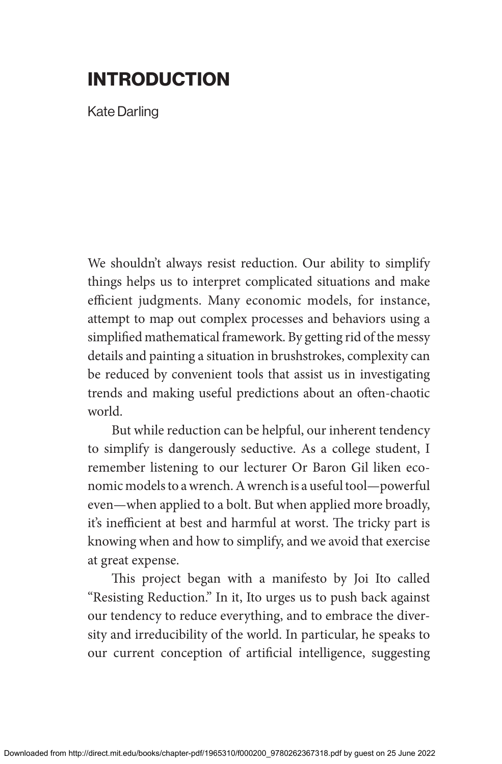## INTRODUCTION

Kate Darling

We shouldn't always resist reduction. Our ability to simplify things helps us to interpret complicated situations and make efficient judgments. Many economic models, for instance, attempt to map out complex processes and behaviors using a simplified mathematical framework. By getting rid of the messy details and painting a situation in brushstrokes, complexity can be reduced by convenient tools that assist us in investigating trends and making useful predictions about an often-chaotic world.

But while reduction can be helpful, our inherent tendency to simplify is dangerously seductive. As a college student, I remember listening to our lecturer Or Baron Gil liken economic models to a wrench. A wrench is a useful tool—powerful even—when applied to a bolt. But when applied more broadly, it's inefficient at best and harmful at worst. The tricky part is knowing when and how to simplify, and we avoid that exercise at great expense.

This project began with a manifesto by Joi Ito called "Resisting Reduction." In it, Ito urges us to push back against our tendency to reduce everything, and to embrace the diversity and irreducibility of the world. In particular, he speaks to our current conception of artificial intelligence, suggesting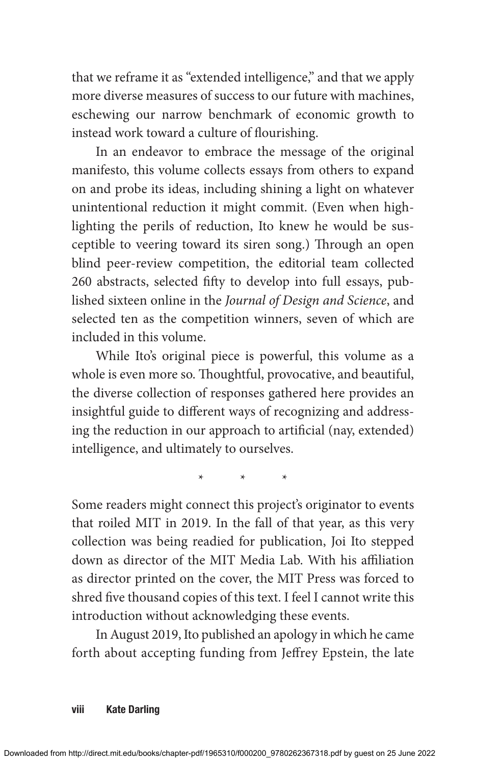that we reframe it as "extended intelligence," and that we apply more diverse measures of success to our future with machines, eschewing our narrow benchmark of economic growth to instead work toward a culture of flourishing.

In an endeavor to embrace the message of the original manifesto, this volume collects essays from others to expand on and probe its ideas, including shining a light on whatever unintentional reduction it might commit. (Even when highlighting the perils of reduction, Ito knew he would be susceptible to veering toward its siren song.) Through an open blind peer-review competition, the editorial team collected 260 abstracts, selected fifty to develop into full essays, published sixteen online in the *Journal of Design and Science*, and selected ten as the competition winners, seven of which are included in this volume.

While Ito's original piece is powerful, this volume as a whole is even more so. Thoughtful, provocative, and beautiful, the diverse collection of responses gathered here provides an insightful guide to different ways of recognizing and addressing the reduction in our approach to artificial (nay, extended) intelligence, and ultimately to ourselves.

\*\*\*

Some readers might connect this project's originator to events that roiled MIT in 2019. In the fall of that year, as this very collection was being readied for publication, Joi Ito stepped down as director of the MIT Media Lab. With his affiliation as director printed on the cover, the MIT Press was forced to shred five thousand copies of this text. I feel I cannot write this introduction without acknowledging these events.

In August 2019, Ito published an apology in which he came forth about accepting funding from Jeffrey Epstein, the late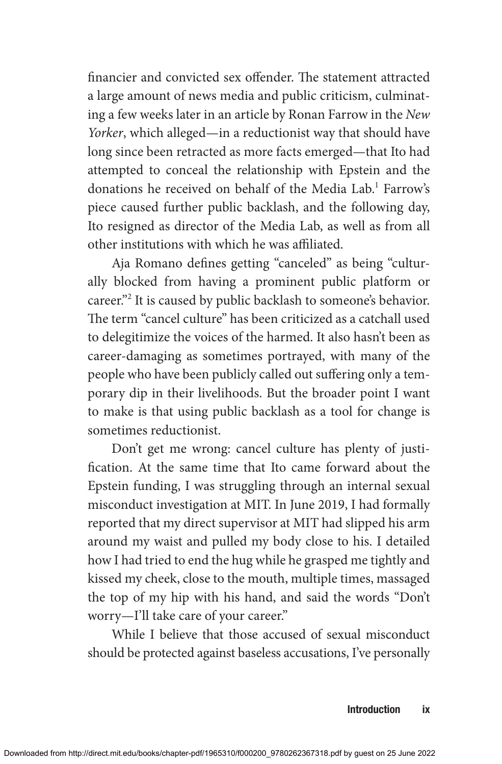financier and convicted sex offender. The statement attracted a large amount of news media and public criticism, culminating a few weeks later in an article by Ronan Farrow in the *New Yorker*, which alleged—in a reductionist way that should have long since been retracted as more facts emerged—that Ito had attempted to conceal the relationship with Epstein and the donations he received on behalf of the Media Lab.<sup>1</sup> Farrow's piece caused further public backlash, and the following day, Ito resigned as director of the Media Lab, as well as from all other institutions with which he was affiliated.

Aja Romano defines getting "canceled" as being "culturally blocked from having a prominent public platform or career."<sup>2</sup> It is caused by public backlash to someone's behavior. The term "cancel culture" has been criticized as a catchall used to delegitimize the voices of the harmed. It also hasn't been as career-damaging as sometimes portrayed, with many of the people who have been publicly called out suffering only a temporary dip in their livelihoods. But the broader point I want to make is that using public backlash as a tool for change is sometimes reductionist.

Don't get me wrong: cancel culture has plenty of justification. At the same time that Ito came forward about the Epstein funding, I was struggling through an internal sexual misconduct investigation at MIT. In June 2019, I had formally reported that my direct supervisor at MIT had slipped his arm around my waist and pulled my body close to his. I detailed how I had tried to end the hug while he grasped me tightly and kissed my cheek, close to the mouth, multiple times, massaged the top of my hip with his hand, and said the words "Don't worry—I'll take care of your career."

While I believe that those accused of sexual misconduct should be protected against baseless accusations, I've personally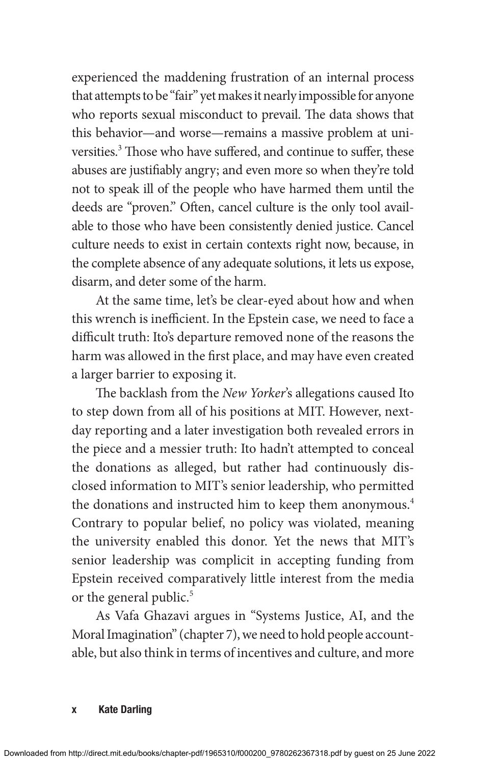experienced the maddening frustration of an internal process that attempts to be "fair" yet makes it nearly impossible for anyone who reports sexual misconduct to prevail. The data shows that this behavior—and worse—remains a massive problem at universities.<sup>3</sup> Those who have suffered, and continue to suffer, these abuses are justifiably angry; and even more so when they're told not to speak ill of the people who have harmed them until the deeds are "proven." Often, cancel culture is the only tool available to those who have been consistently denied justice. Cancel culture needs to exist in certain contexts right now, because, in the complete absence of any adequate solutions, it lets us expose, disarm, and deter some of the harm.

At the same time, let's be clear-eyed about how and when this wrench is inefficient. In the Epstein case, we need to face a difficult truth: Ito's departure removed none of the reasons the harm was allowed in the first place, and may have even created a larger barrier to exposing it.

The backlash from the *New Yorker*'s allegations caused Ito to step down from all of his positions at MIT. However, nextday reporting and a later investigation both revealed errors in the piece and a messier truth: Ito hadn't attempted to conceal the donations as alleged, but rather had continuously disclosed information to MIT's senior leadership, who permitted the donations and instructed him to keep them anonymous.<sup>4</sup> Contrary to popular belief, no policy was violated, meaning the university enabled this donor. Yet the news that MIT's senior leadership was complicit in accepting funding from Epstein received comparatively little interest from the media or the general public.<sup>5</sup>

As Vafa Ghazavi argues in "Systems Justice, AI, and the Moral Imagination" (chapter 7), we need to hold people accountable, but also think in terms of incentives and culture, and more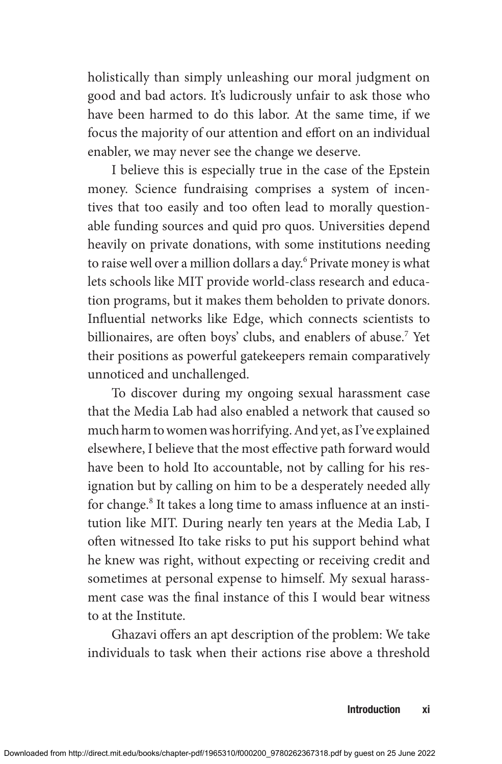holistically than simply unleashing our moral judgment on good and bad actors. It's ludicrously unfair to ask those who have been harmed to do this labor. At the same time, if we focus the majority of our attention and effort on an individual enabler, we may never see the change we deserve.

I believe this is especially true in the case of the Epstein money. Science fundraising comprises a system of incentives that too easily and too often lead to morally questionable funding sources and quid pro quos. Universities depend heavily on private donations, with some institutions needing to raise well over a million dollars a day.<sup>6</sup> Private money is what lets schools like MIT provide world-class research and education programs, but it makes them beholden to private donors. Influential networks like Edge, which connects scientists to billionaires, are often boys' clubs, and enablers of abuse.<sup>7</sup> Yet their positions as powerful gatekeepers remain comparatively unnoticed and unchallenged.

To discover during my ongoing sexual harassment case that the Media Lab had also enabled a network that caused so much harm to women was horrifying. And yet, as I've explained elsewhere, I believe that the most effective path forward would have been to hold Ito accountable, not by calling for his resignation but by calling on him to be a desperately needed ally for change.<sup>8</sup> It takes a long time to amass influence at an institution like MIT. During nearly ten years at the Media Lab, I often witnessed Ito take risks to put his support behind what he knew was right, without expecting or receiving credit and sometimes at personal expense to himself. My sexual harassment case was the final instance of this I would bear witness to at the Institute.

Ghazavi offers an apt description of the problem: We take individuals to task when their actions rise above a threshold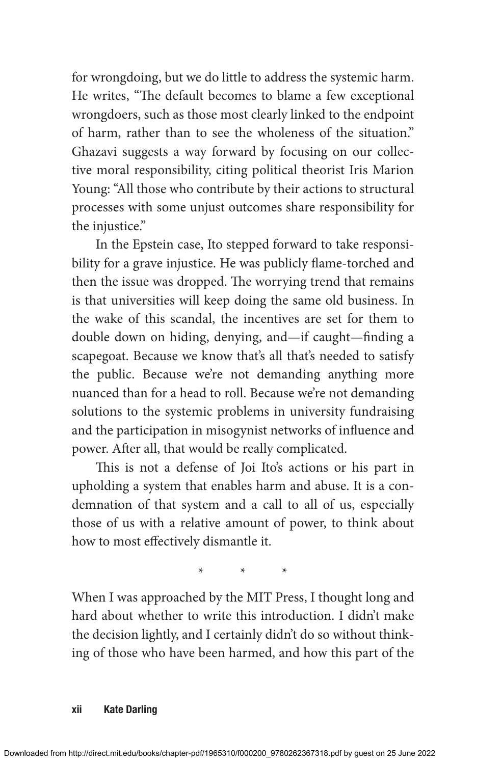for wrongdoing, but we do little to address the systemic harm. He writes, "The default becomes to blame a few exceptional wrongdoers, such as those most clearly linked to the endpoint of harm, rather than to see the wholeness of the situation." Ghazavi suggests a way forward by focusing on our collective moral responsibility, citing political theorist Iris Marion Young: "All those who contribute by their actions to structural processes with some unjust outcomes share responsibility for the injustice."

In the Epstein case, Ito stepped forward to take responsibility for a grave injustice. He was publicly flame-torched and then the issue was dropped. The worrying trend that remains is that universities will keep doing the same old business. In the wake of this scandal, the incentives are set for them to double down on hiding, denying, and—if caught—finding a scapegoat. Because we know that's all that's needed to satisfy the public. Because we're not demanding anything more nuanced than for a head to roll. Because we're not demanding solutions to the systemic problems in university fundraising and the participation in misogynist networks of influence and power. After all, that would be really complicated.

This is not a defense of Joi Ito's actions or his part in upholding a system that enables harm and abuse. It is a condemnation of that system and a call to all of us, especially those of us with a relative amount of power, to think about how to most effectively dismantle it.

\*\*\*

When I was approached by the MIT Press, I thought long and hard about whether to write this introduction. I didn't make the decision lightly, and I certainly didn't do so without thinking of those who have been harmed, and how this part of the

## xii Kate Darling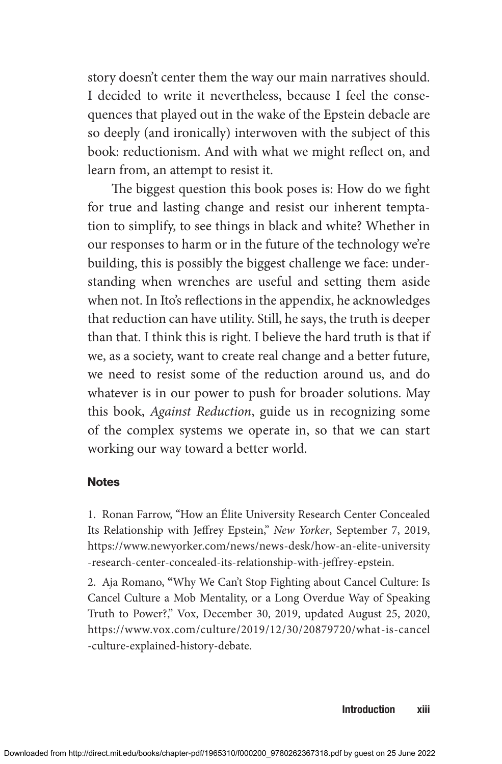story doesn't center them the way our main narratives should. I decided to write it nevertheless, because I feel the consequences that played out in the wake of the Epstein debacle are so deeply (and ironically) interwoven with the subject of this book: reductionism. And with what we might reflect on, and learn from, an attempt to resist it.

The biggest question this book poses is: How do we fight for true and lasting change and resist our inherent temptation to simplify, to see things in black and white? Whether in our responses to harm or in the future of the technology we're building, this is possibly the biggest challenge we face: understanding when wrenches are useful and setting them aside when not. In Ito's reflections in the appendix, he acknowledges that reduction can have utility. Still, he says, the truth is deeper than that. I think this is right. I believe the hard truth is that if we, as a society, want to create real change and a better future, we need to resist some of the reduction around us, and do whatever is in our power to push for broader solutions. May this book, *Against Reduction*, guide us in recognizing some of the complex systems we operate in, so that we can start working our way toward a better world.

## Notes

1. Ronan Farrow, "How an Élite University Research Center Concealed Its Relationship with Jeffrey Epstein," *New Yorker*, September 7, 2019, [https://www.newyorker.com/news/news-desk/how-an-elite-university](https://www.newyorker.com/news/news-desk/how-an-elite-university-research-center-concealed-its-relationship-with-jeffrey-epstein) [-research-center-concealed-its-relationship-with-jeffrey-epstein](https://www.newyorker.com/news/news-desk/how-an-elite-university-research-center-concealed-its-relationship-with-jeffrey-epstein).

2. Aja Romano, **"**Why We Can't Stop Fighting about Cancel Culture: Is Cancel Culture a Mob Mentality, or a Long Overdue Way of Speaking Truth to Power?," Vox, December 30, 2019, updated August 25, 2020, [https://www.vox.com/culture/2019/12/30/20879720/what-is-cancel](https://www.vox.com/culture/2019/12/30/20879720/what-is-cancel-culture-explained-history-debate) [-culture-explained-history-debate.](https://www.vox.com/culture/2019/12/30/20879720/what-is-cancel-culture-explained-history-debate)